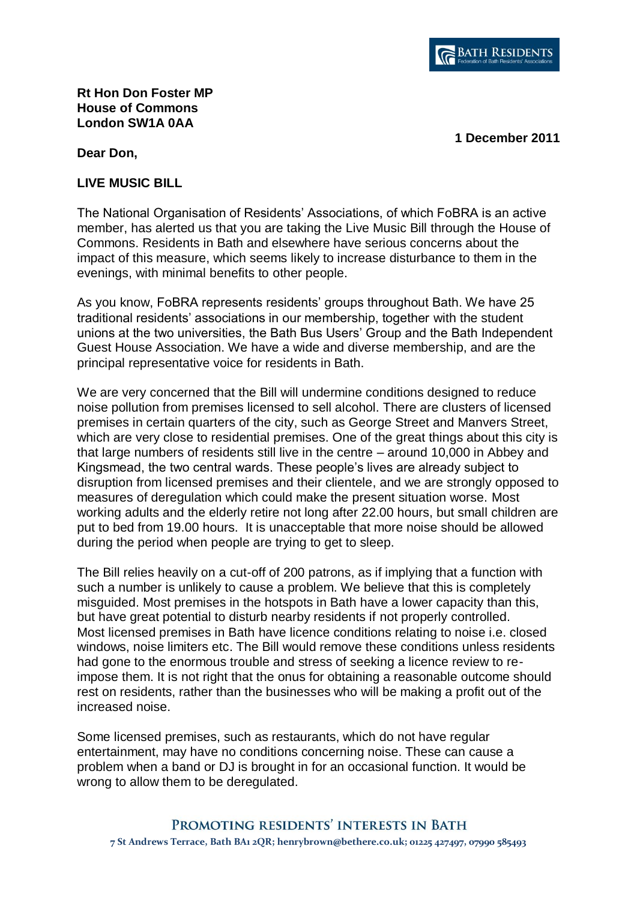

## **Rt Hon Don Foster MP House of Commons London SW1A 0AA**

**1 December 2011**

**Dear Don,** 

## **LIVE MUSIC BILL**

The National Organisation of Residents' Associations, of which FoBRA is an active member, has alerted us that you are taking the Live Music Bill through the House of Commons. Residents in Bath and elsewhere have serious concerns about the impact of this measure, which seems likely to increase disturbance to them in the evenings, with minimal benefits to other people.

As you know, FoBRA represents residents' groups throughout Bath. We have 25 traditional residents' associations in our membership, together with the student unions at the two universities, the Bath Bus Users' Group and the Bath Independent Guest House Association. We have a wide and diverse membership, and are the principal representative voice for residents in Bath.

We are very concerned that the Bill will undermine conditions designed to reduce noise pollution from premises licensed to sell alcohol. There are clusters of licensed premises in certain quarters of the city, such as George Street and Manvers Street, which are very close to residential premises. One of the great things about this city is that large numbers of residents still live in the centre – around 10,000 in Abbey and Kingsmead, the two central wards. These people's lives are already subject to disruption from licensed premises and their clientele, and we are strongly opposed to measures of deregulation which could make the present situation worse. Most working adults and the elderly retire not long after 22.00 hours, but small children are put to bed from 19.00 hours. It is unacceptable that more noise should be allowed during the period when people are trying to get to sleep.

The Bill relies heavily on a cut-off of 200 patrons, as if implying that a function with such a number is unlikely to cause a problem. We believe that this is completely misguided. Most premises in the hotspots in Bath have a lower capacity than this, but have great potential to disturb nearby residents if not properly controlled. Most licensed premises in Bath have licence conditions relating to noise i.e. closed windows, noise limiters etc. The Bill would remove these conditions unless residents had gone to the enormous trouble and stress of seeking a licence review to reimpose them. It is not right that the onus for obtaining a reasonable outcome should rest on residents, rather than the businesses who will be making a profit out of the increased noise.

Some licensed premises, such as restaurants, which do not have regular entertainment, may have no conditions concerning noise. These can cause a problem when a band or DJ is brought in for an occasional function. It would be wrong to allow them to be deregulated.